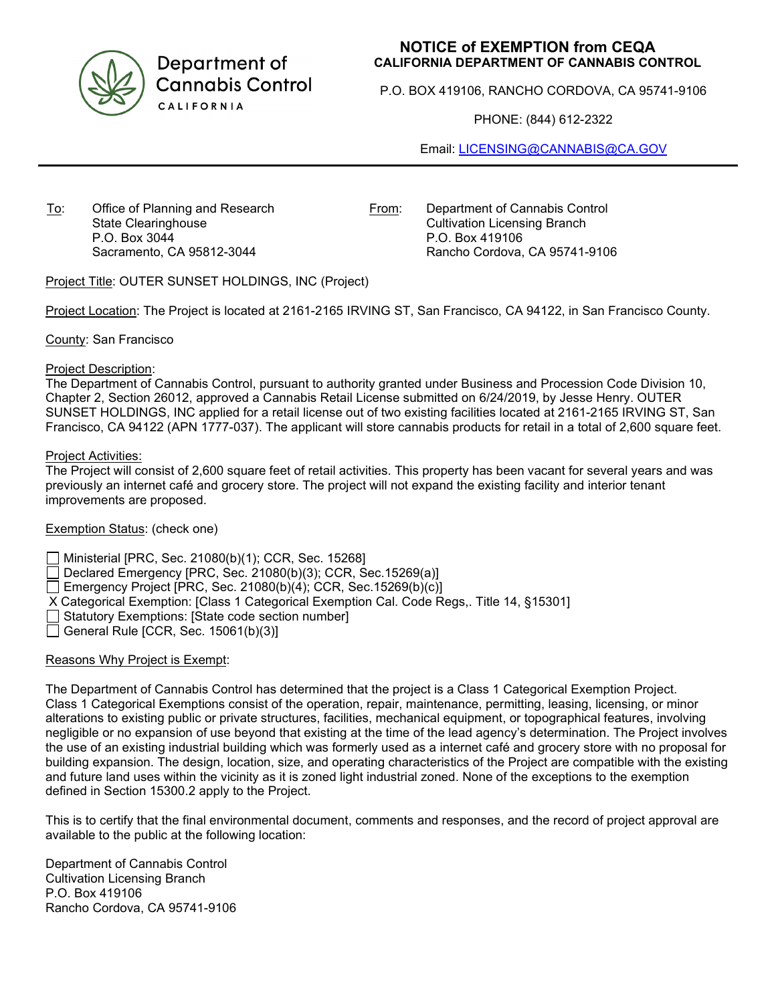

Department of **Cannabis Control** CALIFORNIA

# **NOTICE of EXEMPTION from CEQA CALIFORNIA DEPARTMENT OF CANNABIS CONTROL**

P.O. BOX 419106, RANCHO CORDOVA, CA 95741-9106

PHONE: (844) 612-2322

Email: [LICENSING@CANNABIS@CA.GOV](mailto:LICENSING@CANNABIS@CA.GOV)

To: Office of Planning and Research State Clearinghouse P.O. Box 3044 Sacramento, CA 95812-3044

From: Department of Cannabis Control Cultivation Licensing Branch P.O. Box 419106 Rancho Cordova, CA 95741-9106

Project Title: OUTER SUNSET HOLDINGS, INC (Project)

Project Location: The Project is located at 2161-2165 IRVING ST, San Francisco, CA 94122, in San Francisco County.

County: San Francisco

### Project Description:

The Department of Cannabis Control, pursuant to authority granted under Business and Procession Code Division 10, Chapter 2, Section 26012, approved a Cannabis Retail License submitted on 6/24/2019, by Jesse Henry. OUTER SUNSET HOLDINGS, INC applied for a retail license out of two existing facilities located at 2161-2165 IRVING ST, San Francisco, CA 94122 (APN 1777-037). The applicant will store cannabis products for retail in a total of 2,600 square feet.

### Project Activities:

The Project will consist of 2,600 square feet of retail activities. This property has been vacant for several years and was previously an internet café and grocery store. The project will not expand the existing facility and interior tenant improvements are proposed.

# Exemption Status: (check one)

Ministerial [PRC, Sec. 21080(b)(1); CCR, Sec. 15268]

Declared Emergency [PRC, Sec. 21080(b)(3); CCR, Sec.15269(a)]

Emergency Project [PRC, Sec. 21080(b)(4); CCR, Sec. 15269(b)(c)]

X Categorical Exemption: [Class 1 Categorical Exemption Cal. Code Regs,. Title 14, §15301]

Statutory Exemptions: [State code section number]

General Rule [CCR, Sec.  $15061(b)(3)$ ]

# Reasons Why Project is Exempt:

The Department of Cannabis Control has determined that the project is a Class 1 Categorical Exemption Project. Class 1 Categorical Exemptions consist of the operation, repair, maintenance, permitting, leasing, licensing, or minor alterations to existing public or private structures, facilities, mechanical equipment, or topographical features, involving negligible or no expansion of use beyond that existing at the time of the lead agency's determination. The Project involves the use of an existing industrial building which was formerly used as a internet café and grocery store with no proposal for building expansion. The design, location, size, and operating characteristics of the Project are compatible with the existing and future land uses within the vicinity as it is zoned light industrial zoned. None of the exceptions to the exemption defined in Section 15300.2 apply to the Project.

This is to certify that the final environmental document, comments and responses, and the record of project approval are available to the public at the following location:

Department of Cannabis Control Cultivation Licensing Branch P.O. Box 419106 Rancho Cordova, CA 95741-9106